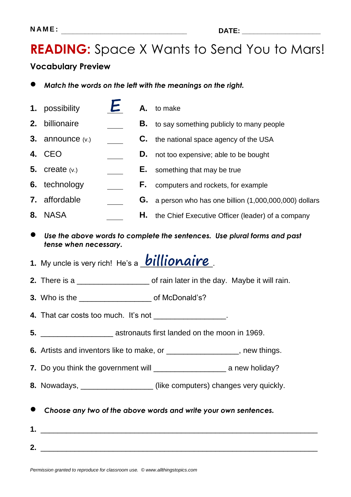## **READING:** Space X Wants to Send You to Mars!

#### **Vocabulary Preview**

- *Match the words on the left with the meanings on the right.*
- **1.** possibility **A.** to make **2.** billionaire **B.** to say something publicly to many people **3.** announce (v.) **C.** the national space agency of the USA **4.** CEO **D.** not too expensive; able to be bought **5.** create (v.) **E.** something that may be true **6.** technology **F.** computers and rockets, for example **7.** affordable **G.** a person who has one billion (1,000,000,000) dollars **8.** NASA **H.** the Chief Executive Officer (leader) of a company *Use the above words to complete the sentences. Use plural forms and past tense when necessary.* 1. My uncle is very rich! He's a **billionaire 2.** There is a *Letter* in the day. Maybe it will rain. **3.** Who is the \_\_\_\_\_\_\_\_\_\_\_\_\_\_\_\_\_ of McDonald's? **4.** That car costs too much. It's not \_\_\_\_\_\_\_\_\_\_\_\_\_\_\_\_\_\_. **5.** \_\_\_\_\_\_\_\_\_\_\_\_\_\_\_\_\_ astronauts first landed on the moon in 1969. **6.** Artists and inventors like to make, or \_\_\_\_\_\_\_\_\_\_\_\_\_\_\_\_\_, new things. **7.** Do you think the government will \_\_\_\_\_\_\_\_\_\_\_\_\_\_\_\_\_ a new holiday? **8.** Nowadays, \_\_\_\_\_\_\_\_\_\_\_\_\_\_\_\_\_ (like computers) changes very quickly. *Choose any two of the above words and write your own sentences.* **1.** \_\_\_\_\_\_\_\_\_\_\_\_\_\_\_\_\_\_\_\_\_\_\_\_\_\_\_\_\_\_\_\_\_\_\_\_\_\_\_\_\_\_\_\_\_\_\_\_\_\_\_\_\_\_\_\_\_\_\_\_\_\_\_\_\_ **2.** \_\_\_\_\_\_\_\_\_\_\_\_\_\_\_\_\_\_\_\_\_\_\_\_\_\_\_\_\_\_\_\_\_\_\_\_\_\_\_\_\_\_\_\_\_\_\_\_\_\_\_\_\_\_\_\_\_\_\_\_\_\_\_\_\_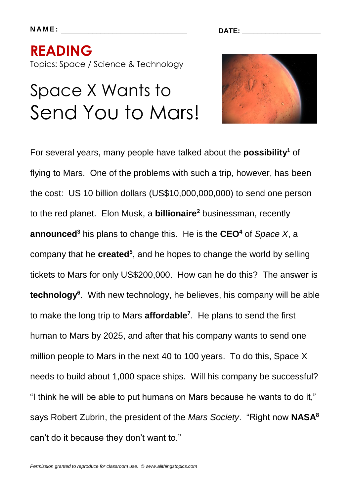**N A M E : \_\_\_\_\_\_\_\_\_\_\_\_\_\_\_\_\_\_\_\_\_\_\_\_\_\_\_\_\_\_\_\_ DATE: \_\_\_\_\_\_\_\_\_\_\_\_\_\_\_\_\_\_\_\_**

# **READING**  Topics: Space / Science & Technology

# Space X Wants to Send You to Mars!



For several years, many people have talked about the **possibility<sup>1</sup>** of flying to Mars. One of the problems with such a trip, however, has been the cost: US 10 billion dollars (US\$10,000,000,000) to send one person to the red planet. Elon Musk, a **billionaire<sup>2</sup>** businessman, recently **announced<sup>3</sup>** his plans to change this. He is the **CEO<sup>4</sup>** of *Space X*, a company that he **created<sup>5</sup>** , and he hopes to change the world by selling tickets to Mars for only US\$200,000. How can he do this? The answer is **technology<sup>6</sup>** . With new technology, he believes, his company will be able to make the long trip to Mars **affordable<sup>7</sup>** . He plans to send the first human to Mars by 2025, and after that his company wants to send one million people to Mars in the next 40 to 100 years. To do this, Space X needs to build about 1,000 space ships. Will his company be successful? "I think he will be able to put humans on Mars because he wants to do it," says Robert Zubrin, the president of the *Mars Society*. "Right now **NASA<sup>8</sup>** can't do it because they don't want to."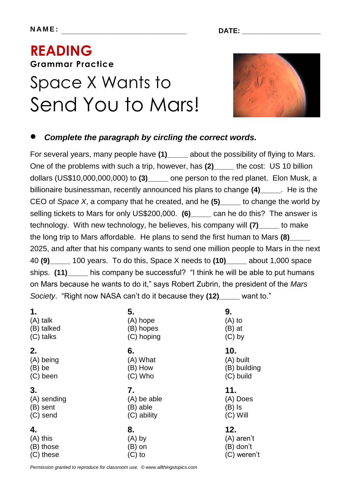# **READING Grammar Practice**  Space X Wants to Send You to Mars!



#### *Complete the paragraph by circling the correct words.*

For several years, many people have **(1)\_\_\_\_\_** about the possibility of flying to Mars. One of the problems with such a trip, however, has (2) the cost: US 10 billion dollars (US\$10,000,000,000) to **(3)\_\_\_\_\_** one person to the red planet. Elon Musk, a billionaire businessman, recently announced his plans to change **(4)\_\_\_\_\_**. He is the CEO of *Space X*, a company that he created, and he **(5)\_\_\_\_\_** to change the world by selling tickets to Mars for only US\$200,000. **(6)\_\_\_\_\_** can he do this? The answer is technology. With new technology, he believes, his company will **(7)\_\_\_\_\_** to make the long trip to Mars affordable. He plans to send the first human to Mars **(8)\_\_\_\_\_** 2025, and after that his company wants to send one million people to Mars in the next 40 **(9)\_\_\_\_\_** 100 years. To do this, Space X needs to **(10)\_\_\_\_\_** about 1,000 space ships. **(11)\_\_\_\_\_** his company be successful? "I think he will be able to put humans on Mars because he wants to do it," says Robert Zubrin, the president of the *Mars Society*. "Right now NASA can't do it because they **(12)\_\_\_\_\_** want to."

| 1.<br>(A) talk<br>(B) talked<br>(C) talks | 5.<br>(A) hope<br>(B) hopes<br>(C) hoping    | 9.<br>$(A)$ to<br>$(B)$ at<br>$(C)$ by<br>10.<br>(A) built<br>(B) building<br>(C) build<br>11.<br>(A) Does<br>$(B)$ Is<br>$(C)$ Will |  |
|-------------------------------------------|----------------------------------------------|--------------------------------------------------------------------------------------------------------------------------------------|--|
| 2.<br>(A) being<br>$(B)$ be<br>(C) been   | 6.<br>(A) What<br>(B) How<br>$(C)$ Who       |                                                                                                                                      |  |
| 3.<br>(A) sending<br>(B) sent<br>(C) send | 7.<br>(A) be able<br>(B) able<br>(C) ability |                                                                                                                                      |  |
| 4.                                        |                                              |                                                                                                                                      |  |

*Permission granted to reproduce for classroom use. © www.allthingstopics.com*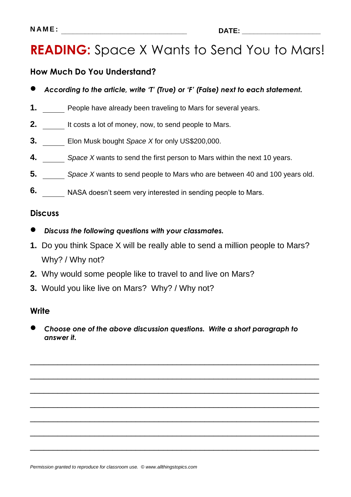### **READING:** Space X Wants to Send You to Mars!

#### **How Much Do You Understand?**

- *According to the article, write 'T' (True) or 'F' (False) next to each statement.*
- **1.** People have already been traveling to Mars for several years.
- **2.** It costs a lot of money, now, to send people to Mars.
- **3.** Elon Musk bought *Space X* for only US\$200,000.
- **4.** *Space X* wants to send the first person to Mars within the next 10 years.
- **5.** *Space X* wants to send people to Mars who are between 40 and 100 years old.
- **6.** NASA doesn't seem very interested in sending people to Mars.

#### **Discuss**

- *Discuss the following questions with your classmates.*
- **1.** Do you think Space X will be really able to send a million people to Mars? Why? / Why not?
- **2.** Why would some people like to travel to and live on Mars?
- **3.** Would you like live on Mars? Why? / Why not?

#### **Write**

 *Choose one of the above discussion questions. Write a short paragraph to answer it.*

\_\_\_\_\_\_\_\_\_\_\_\_\_\_\_\_\_\_\_\_\_\_\_\_\_\_\_\_\_\_\_\_\_\_\_\_\_\_\_\_\_\_\_\_\_\_\_\_\_\_\_\_\_\_\_\_\_\_\_\_\_\_\_

\_\_\_\_\_\_\_\_\_\_\_\_\_\_\_\_\_\_\_\_\_\_\_\_\_\_\_\_\_\_\_\_\_\_\_\_\_\_\_\_\_\_\_\_\_\_\_\_\_\_\_\_\_\_\_\_\_\_\_\_\_\_\_

\_\_\_\_\_\_\_\_\_\_\_\_\_\_\_\_\_\_\_\_\_\_\_\_\_\_\_\_\_\_\_\_\_\_\_\_\_\_\_\_\_\_\_\_\_\_\_\_\_\_\_\_\_\_\_\_\_\_\_\_\_\_\_

\_\_\_\_\_\_\_\_\_\_\_\_\_\_\_\_\_\_\_\_\_\_\_\_\_\_\_\_\_\_\_\_\_\_\_\_\_\_\_\_\_\_\_\_\_\_\_\_\_\_\_\_\_\_\_\_\_\_\_\_\_\_\_

\_\_\_\_\_\_\_\_\_\_\_\_\_\_\_\_\_\_\_\_\_\_\_\_\_\_\_\_\_\_\_\_\_\_\_\_\_\_\_\_\_\_\_\_\_\_\_\_\_\_\_\_\_\_\_\_\_\_\_\_\_\_\_

\_\_\_\_\_\_\_\_\_\_\_\_\_\_\_\_\_\_\_\_\_\_\_\_\_\_\_\_\_\_\_\_\_\_\_\_\_\_\_\_\_\_\_\_\_\_\_\_\_\_\_\_\_\_\_\_\_\_\_\_\_\_\_

\_\_\_\_\_\_\_\_\_\_\_\_\_\_\_\_\_\_\_\_\_\_\_\_\_\_\_\_\_\_\_\_\_\_\_\_\_\_\_\_\_\_\_\_\_\_\_\_\_\_\_\_\_\_\_\_\_\_\_\_\_\_\_

*Permission granted to reproduce for classroom use. © www.allthingstopics.com*